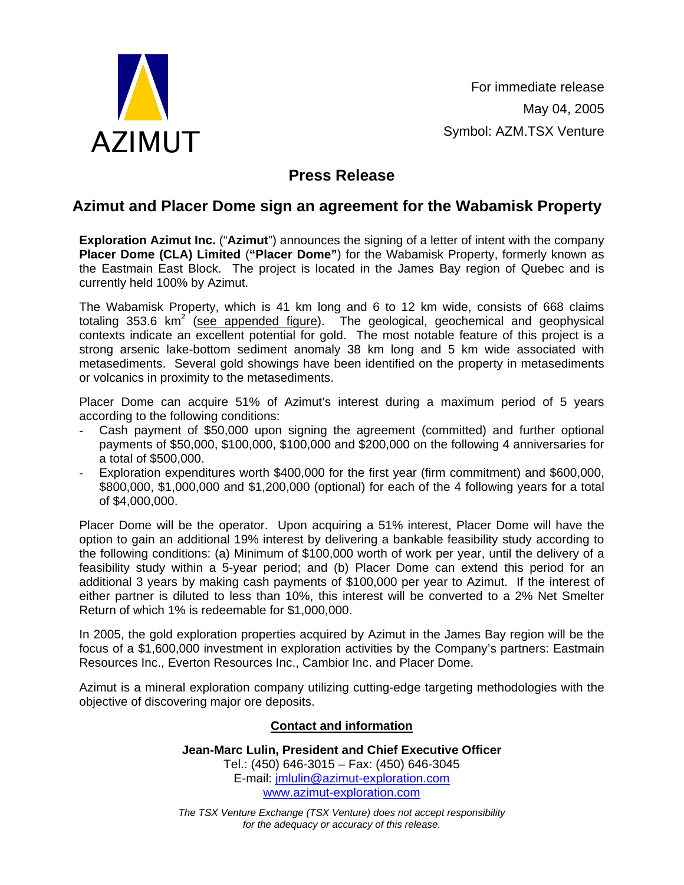

For immediate release May 04, 2005 Symbol: AZM.TSX Venture

## **Press Release**

## **Azimut and Placer Dome sign an agreement for the Wabamisk Property**

**Exploration Azimut Inc.** ("**Azimut**") announces the signing of a letter of intent with the company **Placer Dome (CLA) Limited** (**"Placer Dome"**) for the Wabamisk Property, formerly known as the Eastmain East Block. The project is located in the James Bay region of Quebec and is currently held 100% by Azimut.

The Wabamisk Property, which is 41 km long and 6 to 12 km wide, consists of 668 claims totaling 353.6  $km^2$  (see appended figure). The geological, geochemical and geophysical contexts indicate an excellent potential for gold. The most notable feature of this project is a strong arsenic lake-bottom sediment anomaly 38 km long and 5 km wide associated with metasediments. Several gold showings have been identified on the property in metasediments or volcanics in proximity to the metasediments.

Placer Dome can acquire 51% of Azimut's interest during a maximum period of 5 years according to the following conditions:

- Cash payment of \$50,000 upon signing the agreement (committed) and further optional payments of \$50,000, \$100,000, \$100,000 and \$200,000 on the following 4 anniversaries for a total of \$500,000.
- Exploration expenditures worth \$400,000 for the first year (firm commitment) and \$600,000, \$800,000, \$1,000,000 and \$1,200,000 (optional) for each of the 4 following years for a total of \$4,000,000.

Placer Dome will be the operator. Upon acquiring a 51% interest, Placer Dome will have the option to gain an additional 19% interest by delivering a bankable feasibility study according to the following conditions: (a) Minimum of \$100,000 worth of work per year, until the delivery of a feasibility study within a 5-year period; and (b) Placer Dome can extend this period for an additional 3 years by making cash payments of \$100,000 per year to Azimut. If the interest of either partner is diluted to less than 10%, this interest will be converted to a 2% Net Smelter Return of which 1% is redeemable for \$1,000,000.

In 2005, the gold exploration properties acquired by Azimut in the James Bay region will be the focus of a \$1,600,000 investment in exploration activities by the Company's partners: Eastmain Resources Inc., Everton Resources Inc., Cambior Inc. and Placer Dome.

Azimut is a mineral exploration company utilizing cutting-edge targeting methodologies with the objective of discovering major ore deposits.

## **Contact and information**

**Jean-Marc Lulin, President and Chief Executive Officer**  Tel.: (450) 646-3015 – Fax: (450) 646-3045 E-mail: jmlulin@azimut-exploration.com www.azimut-exploration.com

*The TSX Venture Exchange (TSX Venture) does not accept responsibility for the adequacy or accuracy of this release.*